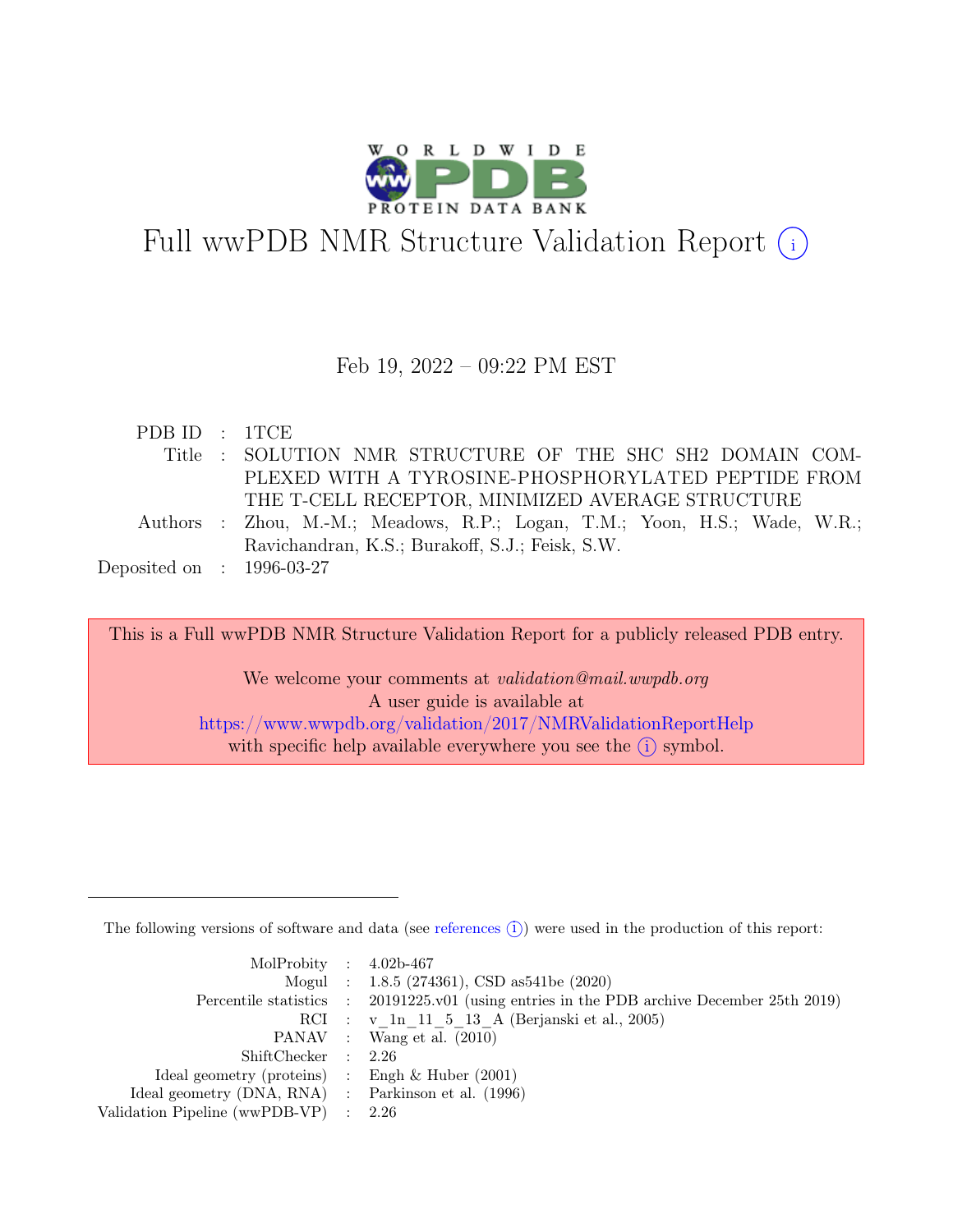

# Full wwPDB NMR Structure Validation Report (i)

#### Feb 19, 2022 – 09:22 PM EST

| PDB ID : 1TCE               |                                                                            |
|-----------------------------|----------------------------------------------------------------------------|
|                             | Title : SOLUTION NMR STRUCTURE OF THE SHC SH2 DOMAIN COM-                  |
|                             | PLEXED WITH A TYROSINE-PHOSPHORYLATED PEPTIDE FROM                         |
|                             | THE T-CELL RECEPTOR, MINIMIZED AVERAGE STRUCTURE                           |
|                             | Authors : Zhou, M.-M.; Meadows, R.P.; Logan, T.M.; Yoon, H.S.; Wade, W.R.; |
|                             | Ravichandran, K.S.; Burakoff, S.J.; Feisk, S.W.                            |
| Deposited on : $1996-03-27$ |                                                                            |

This is a Full wwPDB NMR Structure Validation Report for a publicly released PDB entry.

We welcome your comments at *validation@mail.wwpdb.org* A user guide is available at <https://www.wwpdb.org/validation/2017/NMRValidationReportHelp> with specific help available everywhere you see the  $(i)$  symbol.

The following versions of software and data (see [references](https://www.wwpdb.org/validation/2017/NMRValidationReportHelp#references)  $(i)$ ) were used in the production of this report:

| MolProbity : $4.02b-467$                            |                                                                                            |
|-----------------------------------------------------|--------------------------------------------------------------------------------------------|
|                                                     | Mogul : $1.8.5$ (274361), CSD as 541be (2020)                                              |
|                                                     | Percentile statistics : 20191225.v01 (using entries in the PDB archive December 25th 2019) |
|                                                     | RCI : v 1n 11 5 13 A (Berjanski et al., 2005)                                              |
|                                                     | PANAV : Wang et al. (2010)                                                                 |
| ShiftChecker : 2.26                                 |                                                                                            |
| Ideal geometry (proteins) : Engh $\&$ Huber (2001)  |                                                                                            |
| Ideal geometry (DNA, RNA) : Parkinson et al. (1996) |                                                                                            |
| Validation Pipeline (wwPDB-VP) $\therefore$ 2.26    |                                                                                            |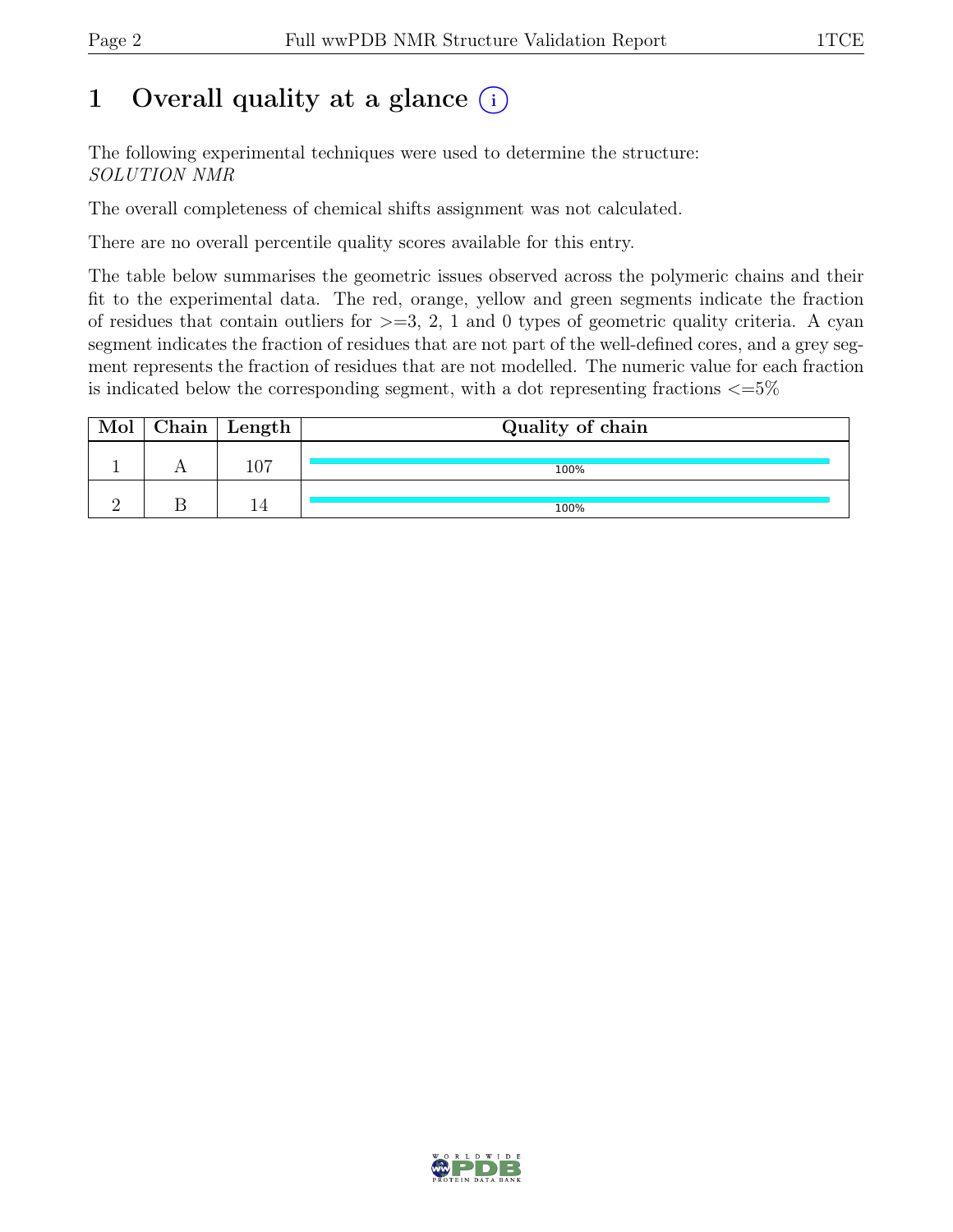## 1 Overall quality at a glance  $(i)$

The following experimental techniques were used to determine the structure: SOLUTION NMR

The overall completeness of chemical shifts assignment was not calculated.

There are no overall percentile quality scores available for this entry.

The table below summarises the geometric issues observed across the polymeric chains and their fit to the experimental data. The red, orange, yellow and green segments indicate the fraction of residues that contain outliers for  $\geq$ =3, 2, 1 and 0 types of geometric quality criteria. A cyan segment indicates the fraction of residues that are not part of the well-defined cores, and a grey segment represents the fraction of residues that are not modelled. The numeric value for each fraction is indicated below the corresponding segment, with a dot representing fractions  $\epsilon = 5\%$ 

| Mol | $\vert$ Chain $\vert$ Length | Quality of chain |
|-----|------------------------------|------------------|
|     | 107                          | 100%             |
|     |                              | 100%             |

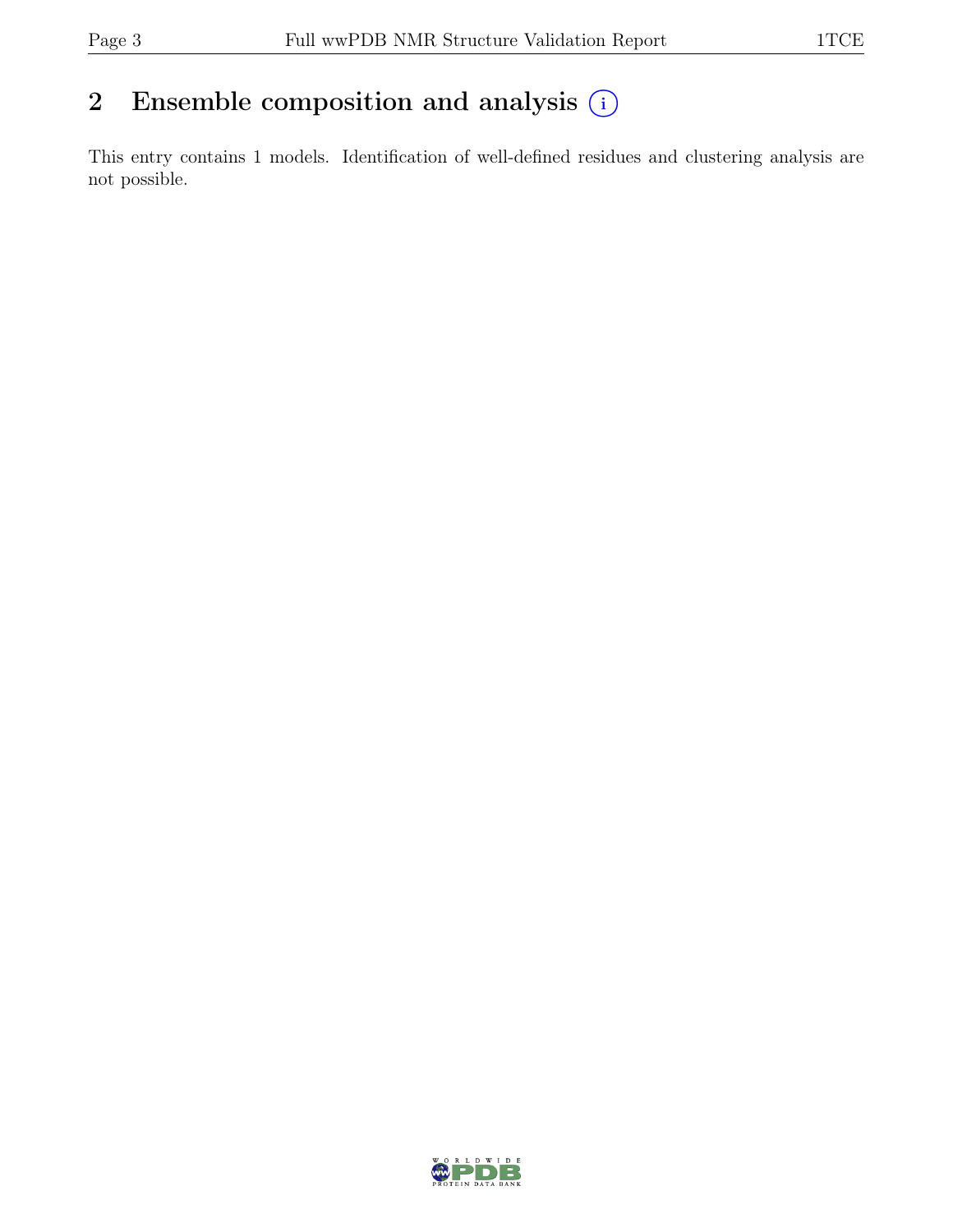## 2 Ensemble composition and analysis  $(i)$

This entry contains 1 models. Identification of well-defined residues and clustering analysis are not possible.

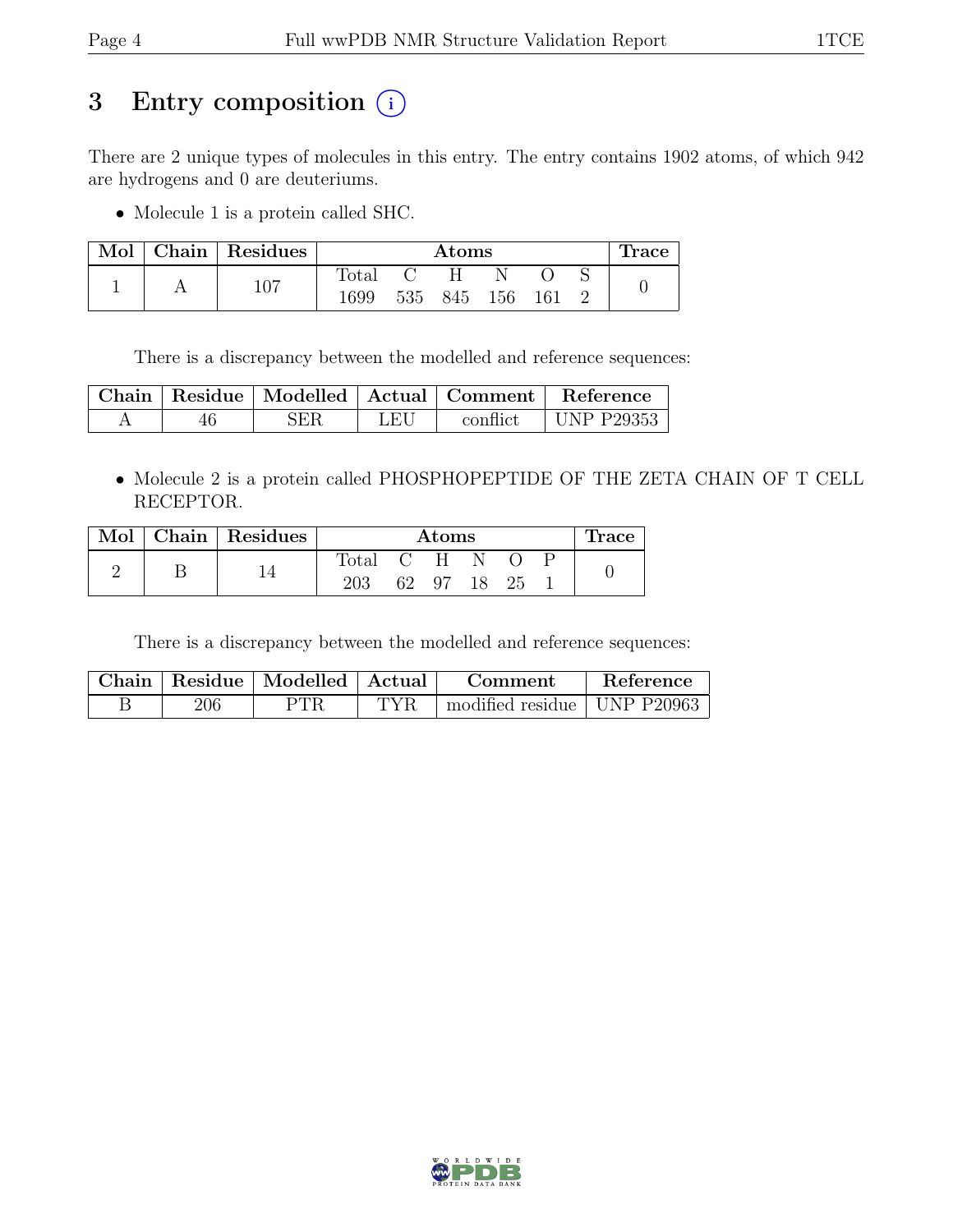## 3 Entry composition (i)

There are 2 unique types of molecules in this entry. The entry contains 1902 atoms, of which 942 are hydrogens and 0 are deuteriums.

• Molecule 1 is a protein called SHC.

| Mol | $\vert$ Chain $\vert$ Residues | $\rm{Atoms}$   |     |     |     |     |  | <b>Trace</b> |
|-----|--------------------------------|----------------|-----|-----|-----|-----|--|--------------|
|     | 107                            | $_{\rm Total}$ |     |     |     |     |  |              |
|     |                                | 1699           | 535 | 845 | 156 | 161 |  |              |

There is a discrepancy between the modelled and reference sequences:

|  |     | Chain   Residue   Modelled   Actual   Comment | Reference  |
|--|-----|-----------------------------------------------|------------|
|  | LEU | conflict                                      | UNP P29353 |

• Molecule 2 is a protein called PHOSPHOPEPTIDE OF THE ZETA CHAIN OF T CELL RECEPTOR.

|   | Mol   Chain   Residues | Atoms |    |       |                 |    |  | <b>Trace</b> |
|---|------------------------|-------|----|-------|-----------------|----|--|--------------|
|   |                        | Total |    | $C$ H |                 |    |  |              |
| В |                        | 203   | 62 | 97    | 18 <sub>1</sub> | 25 |  |              |

There is a discrepancy between the modelled and reference sequences:

|     | Chain   Residue   Modelled   Actual |      | Comment                       | Reference |  |
|-----|-------------------------------------|------|-------------------------------|-----------|--|
| 206 | PTR                                 | TYR. | modified residue   UNP P20963 |           |  |

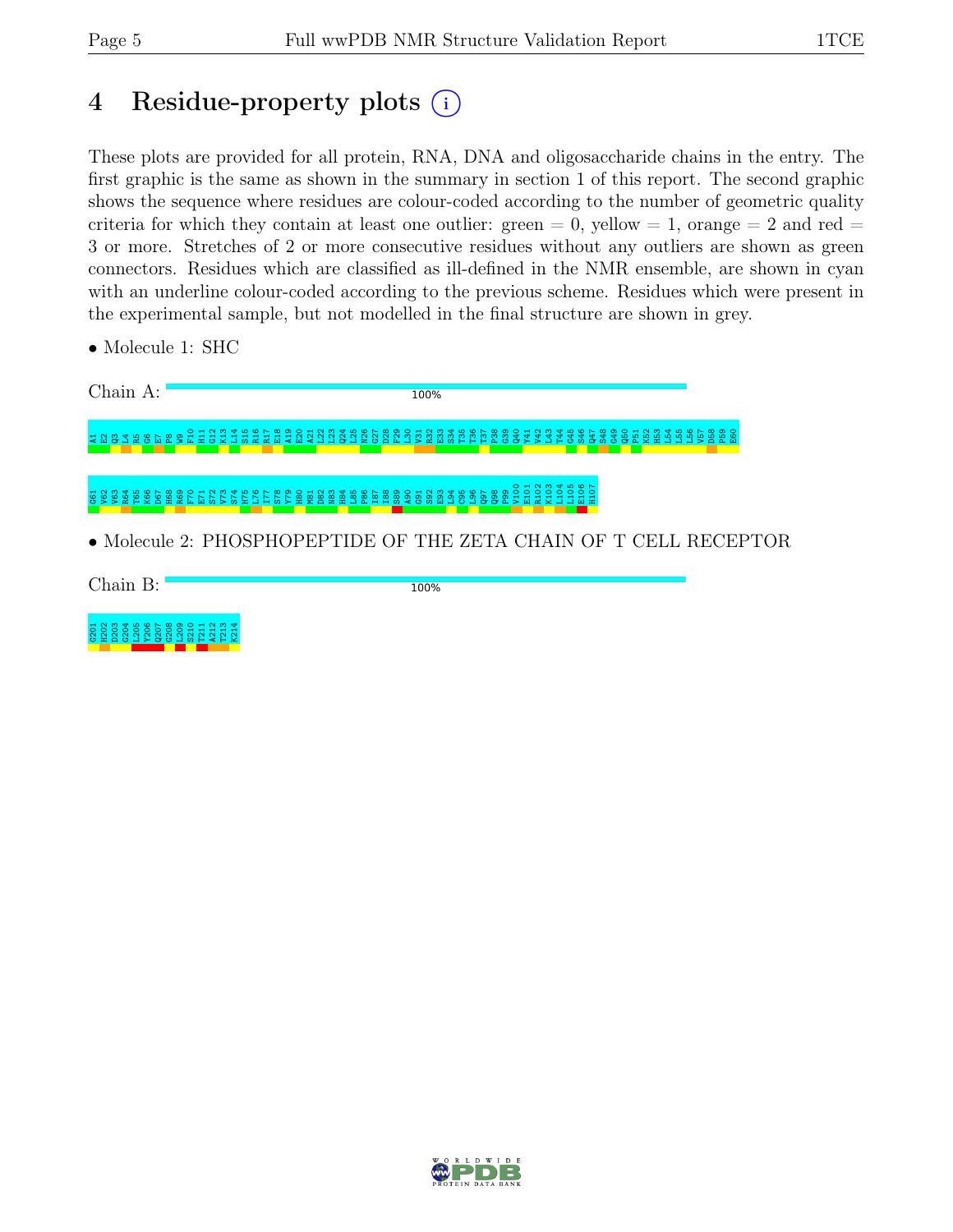### 4 Residue-property plots (i)

These plots are provided for all protein, RNA, DNA and oligosaccharide chains in the entry. The first graphic is the same as shown in the summary in section 1 of this report. The second graphic shows the sequence where residues are colour-coded according to the number of geometric quality criteria for which they contain at least one outlier: green  $= 0$ , yellow  $= 1$ , orange  $= 2$  and red  $=$ 3 or more. Stretches of 2 or more consecutive residues without any outliers are shown as green connectors. Residues which are classified as ill-defined in the NMR ensemble, are shown in cyan with an underline colour-coded according to the previous scheme. Residues which were present in the experimental sample, but not modelled in the final structure are shown in grey.

| $\bullet$ Molecule 1: SHC |  |
|---------------------------|--|
|---------------------------|--|

Chain A: 100%  $78932968977$ ខ្ល<br>ខេ L14 s<br>S 2 5 2 3 3 3 3 3 4 5 6 7<br>S 2 5 4 5 4 5 5 6 7 8 9 8 និន្ទី ទី ទី ទី ទី ទី ខី T36 T37 P38 8 9 4 4 4 4 4 4<br>8 4 4 4 4 4 4<br>9 4 4 4 4 4 5 S46 Q47 S48 G49 Q50 P51 K52 H53 L54 L55 L56 V57 D58 P59 E60 R69 F70 E71 S72 V73 S74 H75 L76 I77 S78 Y79 H80 M81 D82 N83 H84 L85 P86 I87 I88 S89 A90 G91 S92 E93 L94 C95 L96 Q97 Q98 P99 V100 E101 R102 K103 L104 L105 E106 H107 G61 V62 V63 R64 T65 K66 D67 H68

• Molecule 2: PHOSPHOPEPTIDE OF THE ZETA CHAIN OF T CELL RECEPTOR

Chain B:

100%



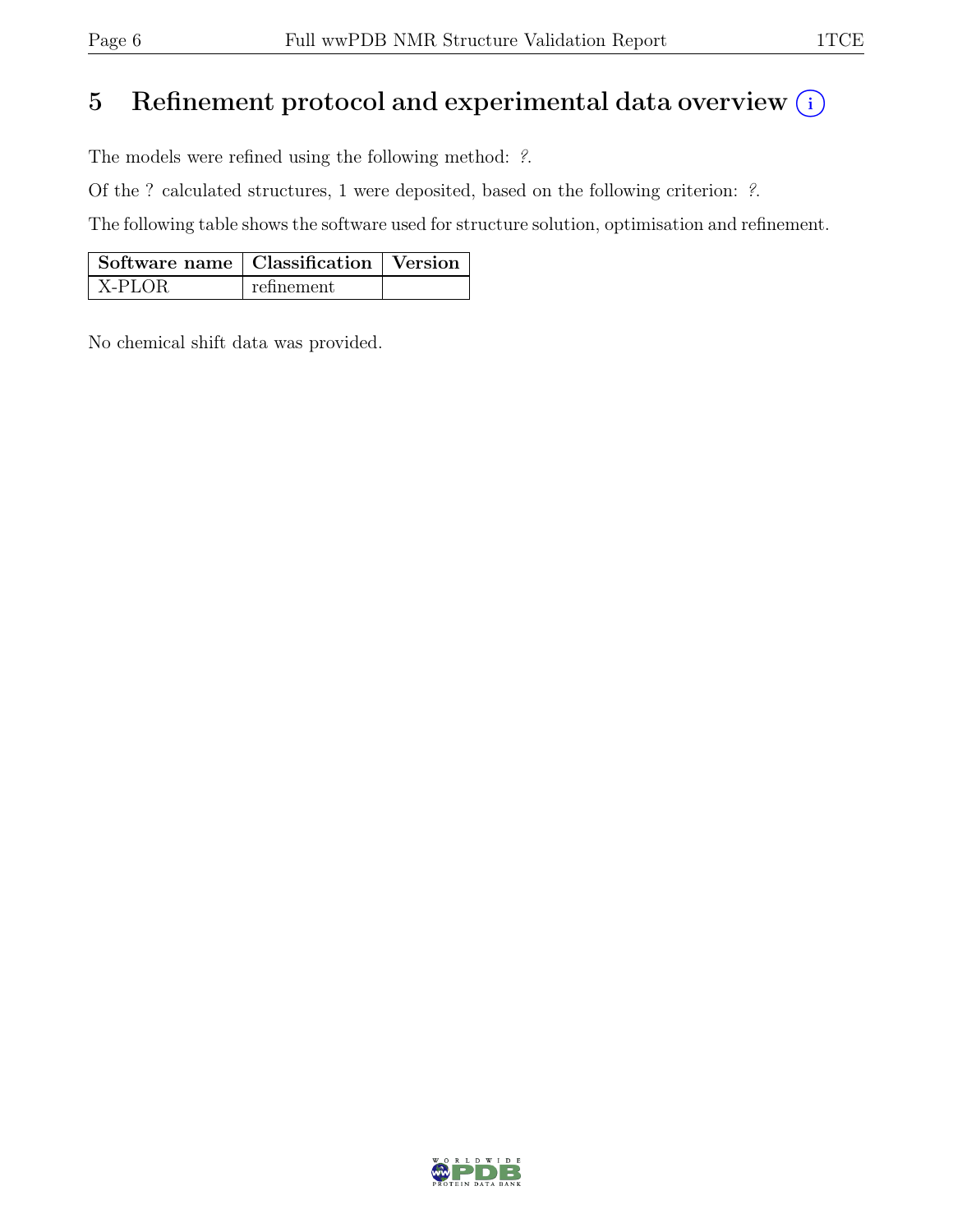### 5 Refinement protocol and experimental data overview  $(i)$

The models were refined using the following method:  $?$ .

Of the ? calculated structures, 1 were deposited, based on the following criterion: ?.

The following table shows the software used for structure solution, optimisation and refinement.

| Software name   Classification   Version |            |  |
|------------------------------------------|------------|--|
| X-PLOR                                   | refinement |  |

No chemical shift data was provided.

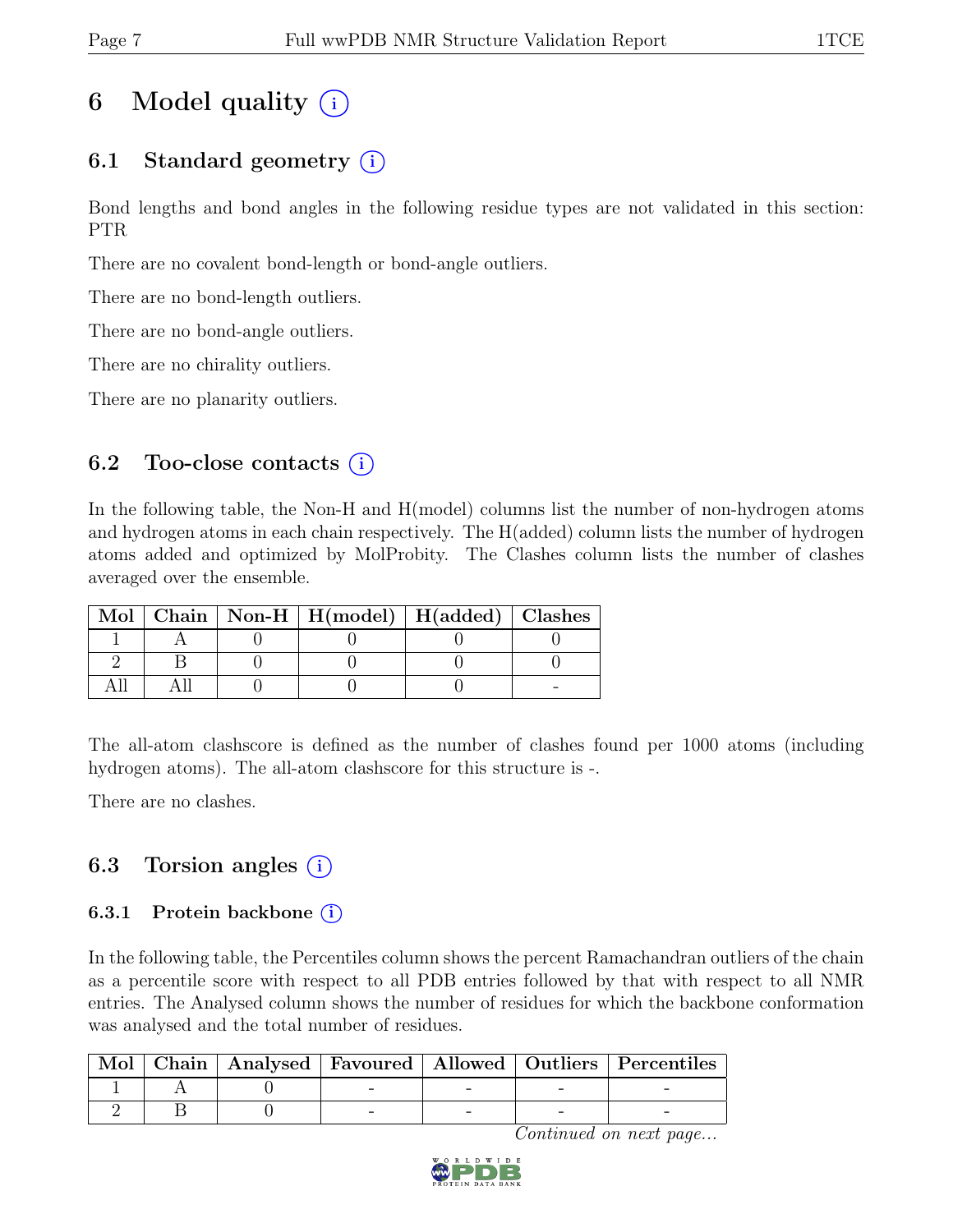## 6 Model quality  $(i)$

### 6.1 Standard geometry  $(i)$

Bond lengths and bond angles in the following residue types are not validated in this section: PTR

There are no covalent bond-length or bond-angle outliers.

There are no bond-length outliers.

There are no bond-angle outliers.

There are no chirality outliers.

There are no planarity outliers.

#### 6.2 Too-close contacts  $(i)$

In the following table, the Non-H and H(model) columns list the number of non-hydrogen atoms and hydrogen atoms in each chain respectively. The H(added) column lists the number of hydrogen atoms added and optimized by MolProbity. The Clashes column lists the number of clashes averaged over the ensemble.

| Mol |  | Chain   Non-H   $H(model)$   $H(added)$   Clashes |  |
|-----|--|---------------------------------------------------|--|
|     |  |                                                   |  |
|     |  |                                                   |  |
|     |  |                                                   |  |

The all-atom clashscore is defined as the number of clashes found per 1000 atoms (including hydrogen atoms). The all-atom clashscore for this structure is -.

There are no clashes.

### 6.3 Torsion angles  $(i)$

#### 6.3.1 Protein backbone  $(i)$

In the following table, the Percentiles column shows the percent Ramachandran outliers of the chain as a percentile score with respect to all PDB entries followed by that with respect to all NMR entries. The Analysed column shows the number of residues for which the backbone conformation was analysed and the total number of residues.

| $\operatorname{Mol}$ |  |  | Chain   Analysed   Favoured   Allowed   Outliers   Percentiles |
|----------------------|--|--|----------------------------------------------------------------|
|                      |  |  |                                                                |
|                      |  |  |                                                                |

Continued on next page...

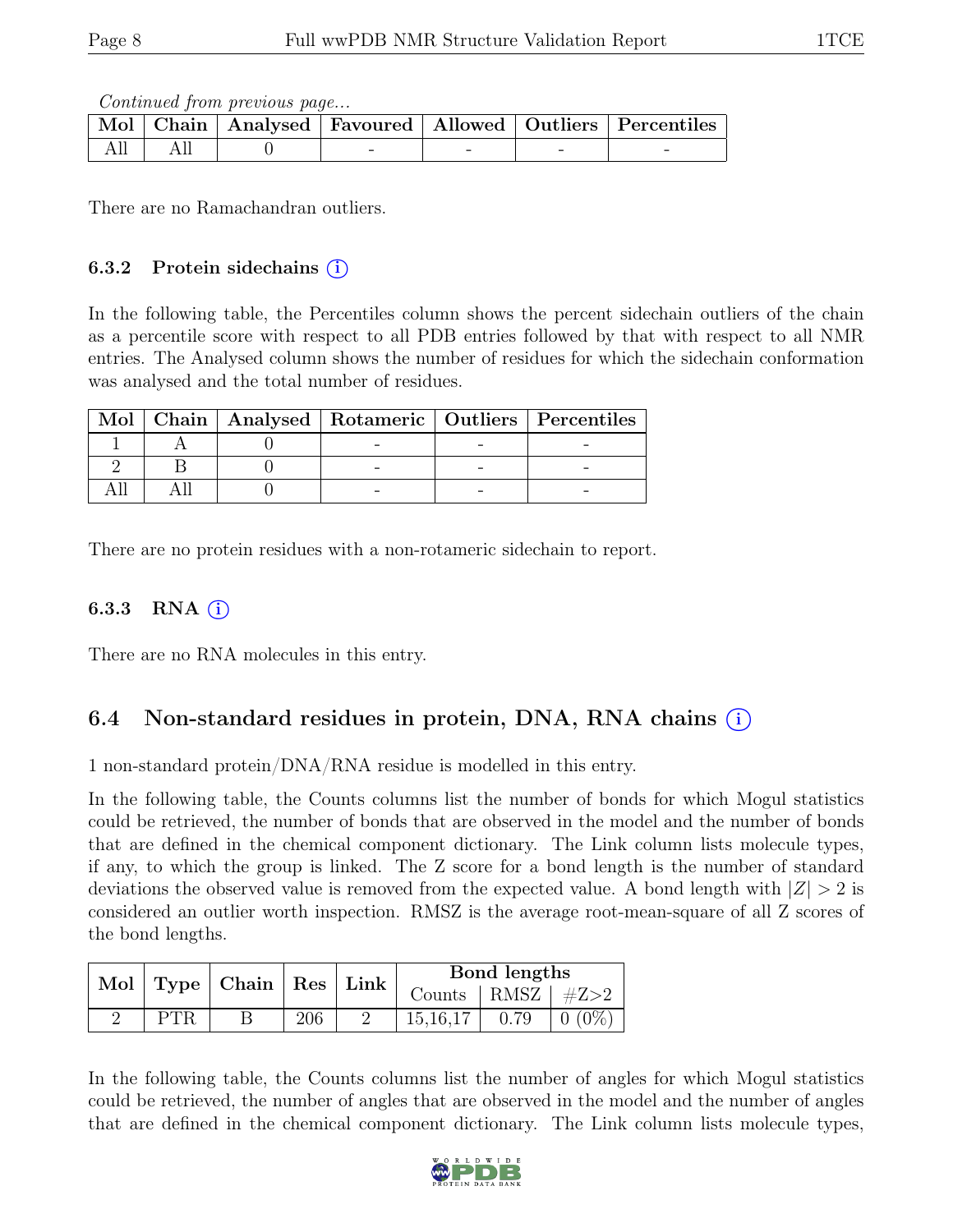Continued from previous page...

|  |  |  | Mol   Chain   Analysed   Favoured   Allowed   Outliers   Percentiles |
|--|--|--|----------------------------------------------------------------------|
|  |  |  |                                                                      |

There are no Ramachandran outliers.

#### 6.3.2 Protein sidechains  $(i)$

In the following table, the Percentiles column shows the percent sidechain outliers of the chain as a percentile score with respect to all PDB entries followed by that with respect to all NMR entries. The Analysed column shows the number of residues for which the sidechain conformation was analysed and the total number of residues.

|  |  | Mol   Chain   Analysed   Rotameric   Outliers   Percentiles |
|--|--|-------------------------------------------------------------|
|  |  |                                                             |
|  |  |                                                             |
|  |  |                                                             |

There are no protein residues with a non-rotameric sidechain to report.

#### 6.3.3 RNA  $(i)$

There are no RNA molecules in this entry.

### 6.4 Non-standard residues in protein, DNA, RNA chains (i)

1 non-standard protein/DNA/RNA residue is modelled in this entry.

In the following table, the Counts columns list the number of bonds for which Mogul statistics could be retrieved, the number of bonds that are observed in the model and the number of bonds that are defined in the chemical component dictionary. The Link column lists molecule types, if any, to which the group is linked. The Z score for a bond length is the number of standard deviations the observed value is removed from the expected value. A bond length with  $|Z| > 2$  is considered an outlier worth inspection. RMSZ is the average root-mean-square of all Z scores of the bond lengths.

|      | Mol   Type   Chain   Res   Link |     |  | Bond lengths            |      |            |
|------|---------------------------------|-----|--|-------------------------|------|------------|
|      |                                 |     |  | Counts   RMSZ   $\#Z>2$ |      |            |
| PTR. |                                 | 206 |  | 15, 16, 17              | 0.79 | $ 0(0\%) $ |

In the following table, the Counts columns list the number of angles for which Mogul statistics could be retrieved, the number of angles that are observed in the model and the number of angles that are defined in the chemical component dictionary. The Link column lists molecule types,

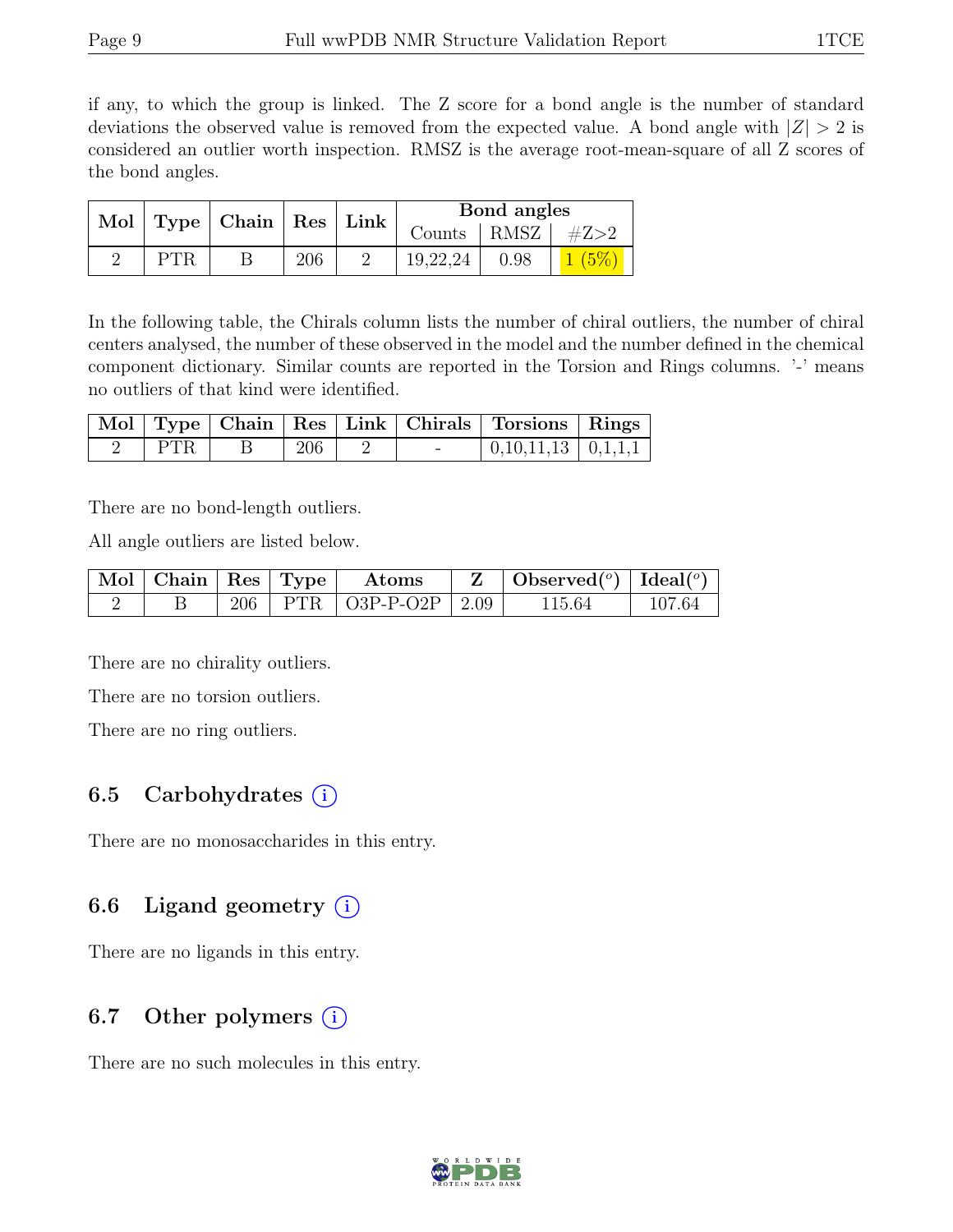if any, to which the group is linked. The Z score for a bond angle is the number of standard deviations the observed value is removed from the expected value. A bond angle with  $|Z| > 2$  is considered an outlier worth inspection. RMSZ is the average root-mean-square of all Z scores of the bond angles.

|      | Mol   Type   Chain   Res   Link |     | Bond angles             |      |  |
|------|---------------------------------|-----|-------------------------|------|--|
|      |                                 |     | Counts   RMSZ   $\#Z>2$ |      |  |
| PTR. |                                 | 206 | 19,22,24                | 0.98 |  |

In the following table, the Chirals column lists the number of chiral outliers, the number of chiral centers analysed, the number of these observed in the model and the number defined in the chemical component dictionary. Similar counts are reported in the Torsion and Rings columns. '-' means no outliers of that kind were identified.

|     |     |               | Mol   Type   Chain   Res   Link   Chirals   Torsions   Rings |  |
|-----|-----|---------------|--------------------------------------------------------------|--|
| PTR | 206 | $\sim$ $\sim$ | $\mid$ 0,10,11,13 $\mid$ 0,1,1,1                             |  |

There are no bond-length outliers.

All angle outliers are listed below.

| $\boxed{\text{Mol}}$ Chain   Res   Type |  | $\rm~Atons$                    | $\mathbf{Z}$   Observed $(^\circ)$   Ideal $(^\circ)$ |        |
|-----------------------------------------|--|--------------------------------|-------------------------------------------------------|--------|
|                                         |  | $206$   PTR   O3P-P-O2P   2.09 | 115.64                                                | 107.64 |

There are no chirality outliers.

There are no torsion outliers.

There are no ring outliers.

### 6.5 Carbohydrates  $(i)$

There are no monosaccharides in this entry.

### 6.6 Ligand geometry  $(i)$

There are no ligands in this entry.

#### 6.7 Other polymers  $(i)$

There are no such molecules in this entry.

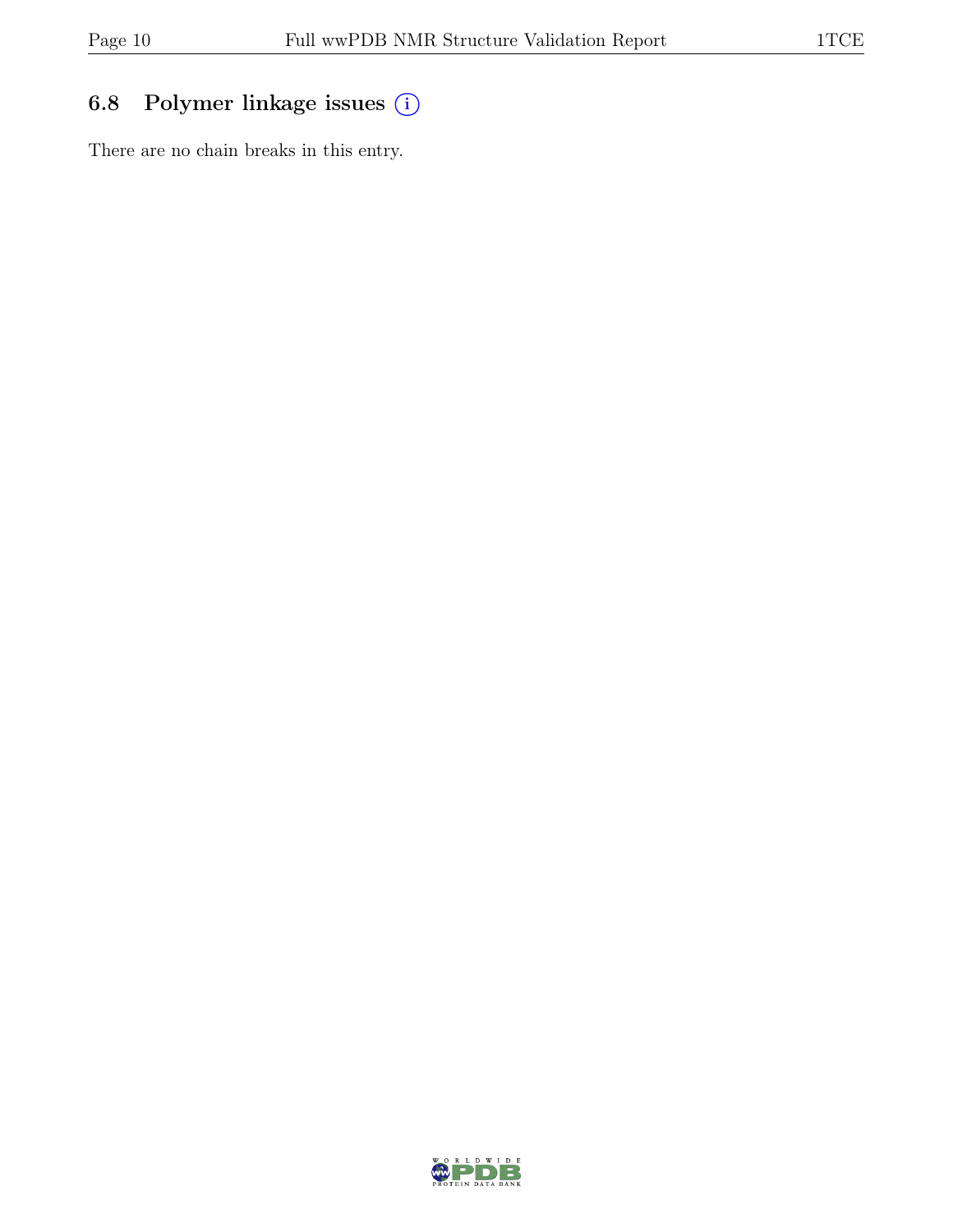### 6.8 Polymer linkage issues (i)

There are no chain breaks in this entry.